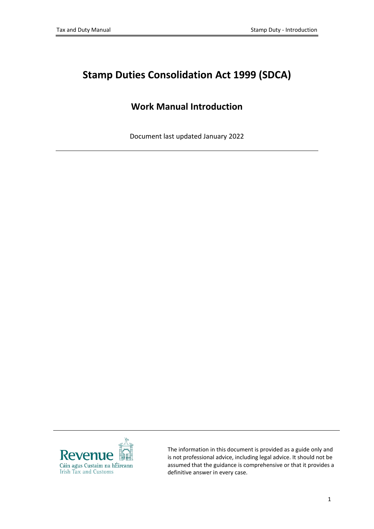# **Stamp Duties Consolidation Act 1999 (SDCA)**

## **Work Manual Introduction**

Document last updated January 2022



The information in this document is provided as a guide only and is not professional advice, including legal advice. It should not be assumed that the guidance is comprehensive or that it provides a definitive answer in every case.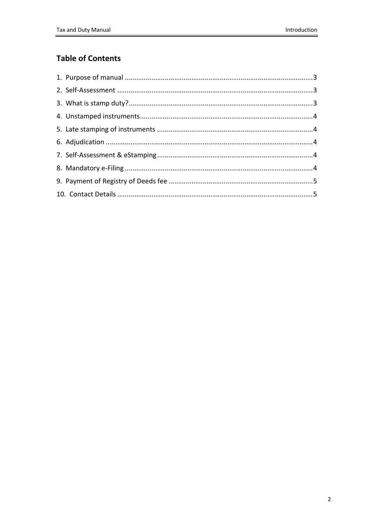## **Table of Contents**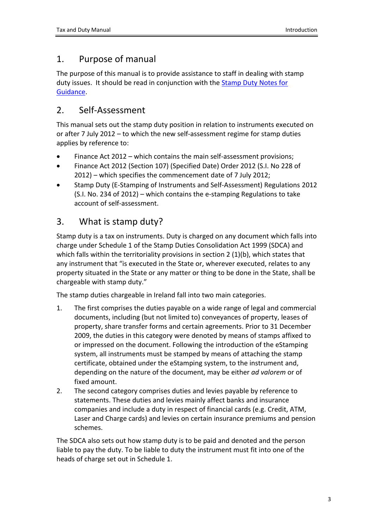## <span id="page-2-0"></span>1. Purpose of manual

The purpose of this manual is to provide assistance to staff in dealing with stamp duty issues. It should be read in conjunction with the [Stamp](http://www.revenue.ie/en/practitioner/law/notes-for-guidance/stamp-duty/index.html) [Duty](http://www.revenue.ie/en/practitioner/law/notes-for-guidance/stamp-duty/index.html) [Notes](http://www.revenue.ie/en/practitioner/law/notes-for-guidance/stamp-duty/index.html) [for](http://www.revenue.ie/en/practitioner/law/notes-for-guidance/stamp-duty/index.html) [Guidance.](http://www.revenue.ie/en/practitioner/law/notes-for-guidance/stamp-duty/index.html)

## <span id="page-2-1"></span>2. Self-Assessment

This manual sets out the stamp duty position in relation to instruments executed on or after 7 July 2012 – to which the new self-assessment regime for stamp duties applies by reference to:

- Finance Act 2012 which contains the main self-assessment provisions;
- Finance Act 2012 (Section 107) (Specified Date) Order 2012 (S.I. No 228 of 2012) – which specifies the commencement date of 7 July 2012;
- Stamp Duty (E-Stamping of Instruments and Self-Assessment) Regulations 2012 (S.I. No. 234 of 2012) – which contains the e-stamping Regulations to take account of self-assessment.

## <span id="page-2-2"></span>3. What is stamp duty?

Stamp duty is a tax on instruments. Duty is charged on any document which falls into charge under Schedule 1 of the Stamp Duties Consolidation Act 1999 (SDCA) and which falls within the territoriality provisions in section 2 (1)(b), which states that any instrument that "is executed in the State or, wherever executed, relates to any property situated in the State or any matter or thing to be done in the State, shall be chargeable with stamp duty."

The stamp duties chargeable in Ireland fall into two main categories.

- 1. The first comprises the duties payable on a wide range of legal and commercial documents, including (but not limited to) conveyances of property, leases of property, share transfer forms and certain agreements. Prior to 31 December 2009, the duties in this category were denoted by means of stamps affixed to or impressed on the document. Following the introduction of the eStamping system, all instruments must be stamped by means of attaching the stamp certificate, obtained under the eStamping system, to the instrument and, depending on the nature of the document, may be either *ad valorem* or of fixed amount.
- 2. The second category comprises duties and levies payable by reference to statements. These duties and levies mainly affect banks and insurance companies and include a duty in respect of financial cards (e.g. Credit, ATM, Laser and Charge cards) and levies on certain insurance premiums and pension schemes.

The SDCA also sets out how stamp duty is to be paid and denoted and the person liable to pay the duty. To be liable to duty the instrument must fit into one of the heads of charge set out in Schedule 1.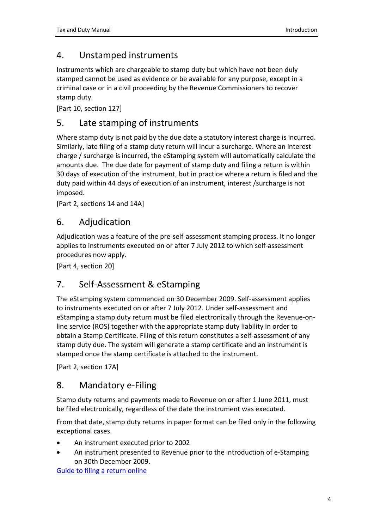## <span id="page-3-0"></span>4. Unstamped instruments

Instruments which are chargeable to stamp duty but which have not been duly stamped cannot be used as evidence or be available for any purpose, except in a criminal case or in a civil proceeding by the Revenue Commissioners to recover stamp duty.

[Part 10, section 127]

## <span id="page-3-1"></span>5. Late stamping of instruments

Where stamp duty is not paid by the due date a statutory interest charge is incurred. Similarly, late filing of a stamp duty return will incur a surcharge. Where an interest charge / surcharge is incurred, the eStamping system will automatically calculate the amounts due. The due date for payment of stamp duty and filing a return is within 30 days of execution of the instrument, but in practice where a return is filed and the duty paid within 44 days of execution of an instrument, interest /surcharge is not imposed.

[Part 2, sections 14 and 14A]

### <span id="page-3-2"></span>6. Adjudication

Adjudication was a feature of the pre-self-assessment stamping process. It no longer applies to instruments executed on or after 7 July 2012 to which self-assessment procedures now apply.

[Part 4, section 20]

### <span id="page-3-3"></span>7. Self-Assessment & eStamping

The [eStamping](http://www.revenue.ie/en/tax/stamp-duty/e-stamping) system commenced on 30 December 2009. Self-assessment applies to instruments executed on or after 7 July 2012. Under self-assessment and eStamping a stamp duty return must be filed electronically through the Revenue-online service (ROS) together with the appropriate stamp duty liability in order to obtain a Stamp Certificate. Filing of this return constitutes a self-assessment of any stamp duty due. The system will generate a stamp certificate and an instrument is stamped once the stamp certificate is attached to the instrument.

[Part 2, section 17A]

### <span id="page-3-4"></span>8. Mandatory e-Filing

Stamp duty returns and payments made to Revenue on or after 1 June 2011, must be filed electronically, regardless of the date the instrument was executed.

From that date, stamp duty returns in paper format can be filed only in the following exceptional cases.

- An instrument executed prior to 2002
- An instrument presented to Revenue prior to the introduction of e-Stamping on 30th December 2009.

[Guide](https://www.revenue.ie/en/online-services/services/property/file-a-stamp-duty-return.aspx) [to](https://www.revenue.ie/en/online-services/services/property/file-a-stamp-duty-return.aspx) [filing](https://www.revenue.ie/en/online-services/services/property/file-a-stamp-duty-return.aspx) [a](https://www.revenue.ie/en/online-services/services/property/file-a-stamp-duty-return.aspx) [return](https://www.revenue.ie/en/online-services/services/property/file-a-stamp-duty-return.aspx) [online](https://www.revenue.ie/en/online-services/services/property/file-a-stamp-duty-return.aspx)